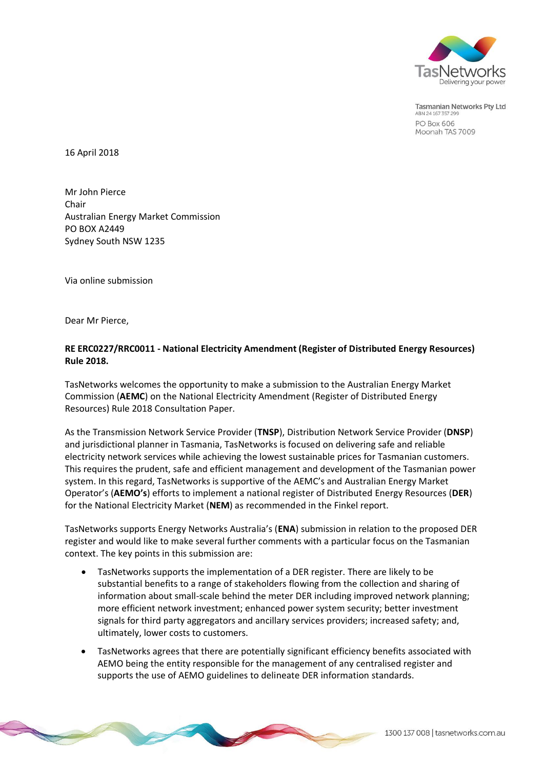

**Tasmanian Networks Pty Ltd** ABN 24 167 357 29 **PO Box 606** Moonah TAS 7009

16 April 2018

Mr John Pierce Chair Australian Energy Market Commission PO BOX A2449 Sydney South NSW 1235

Via online submission

Dear Mr Pierce,

## **RE ERC0227/RRC0011 - National Electricity Amendment (Register of Distributed Energy Resources) Rule 2018.**

TasNetworks welcomes the opportunity to make a submission to the Australian Energy Market Commission (**AEMC**) on the National Electricity Amendment (Register of Distributed Energy Resources) Rule 2018 Consultation Paper.

As the Transmission Network Service Provider (**TNSP**), Distribution Network Service Provider (**DNSP**) and jurisdictional planner in Tasmania, TasNetworks is focused on delivering safe and reliable electricity network services while achieving the lowest sustainable prices for Tasmanian customers. This requires the prudent, safe and efficient management and development of the Tasmanian power system. In this regard, TasNetworks is supportive of the AEMC's and Australian Energy Market Operator's (**AEMO's**) efforts to implement a national register of Distributed Energy Resources (**DER**) for the National Electricity Market (**NEM**) as recommended in the Finkel report.

TasNetworks supports Energy Networks Australia's (**ENA**) submission in relation to the proposed DER register and would like to make several further comments with a particular focus on the Tasmanian context. The key points in this submission are:

- TasNetworks supports the implementation of a DER register. There are likely to be substantial benefits to a range of stakeholders flowing from the collection and sharing of information about small-scale behind the meter DER including improved network planning; more efficient network investment; enhanced power system security; better investment signals for third party aggregators and ancillary services providers; increased safety; and, ultimately, lower costs to customers.
- TasNetworks agrees that there are potentially significant efficiency benefits associated with AEMO being the entity responsible for the management of any centralised register and supports the use of AEMO guidelines to delineate DER information standards.

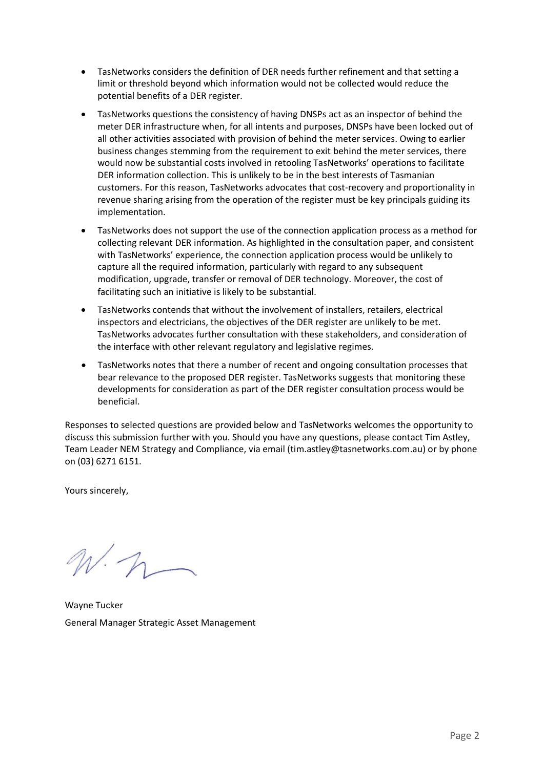- TasNetworks considers the definition of DER needs further refinement and that setting a limit or threshold beyond which information would not be collected would reduce the potential benefits of a DER register.
- TasNetworks questions the consistency of having DNSPs act as an inspector of behind the meter DER infrastructure when, for all intents and purposes, DNSPs have been locked out of all other activities associated with provision of behind the meter services. Owing to earlier business changes stemming from the requirement to exit behind the meter services, there would now be substantial costs involved in retooling TasNetworks' operations to facilitate DER information collection. This is unlikely to be in the best interests of Tasmanian customers. For this reason, TasNetworks advocates that cost-recovery and proportionality in revenue sharing arising from the operation of the register must be key principals guiding its implementation.
- TasNetworks does not support the use of the connection application process as a method for collecting relevant DER information. As highlighted in the consultation paper, and consistent with TasNetworks' experience, the connection application process would be unlikely to capture all the required information, particularly with regard to any subsequent modification, upgrade, transfer or removal of DER technology. Moreover, the cost of facilitating such an initiative is likely to be substantial.
- TasNetworks contends that without the involvement of installers, retailers, electrical inspectors and electricians, the objectives of the DER register are unlikely to be met. TasNetworks advocates further consultation with these stakeholders, and consideration of the interface with other relevant regulatory and legislative regimes.
- TasNetworks notes that there a number of recent and ongoing consultation processes that bear relevance to the proposed DER register. TasNetworks suggests that monitoring these developments for consideration as part of the DER register consultation process would be beneficial.

Responses to selected questions are provided below and TasNetworks welcomes the opportunity to discuss this submission further with you. Should you have any questions, please contact Tim Astley, Team Leader NEM Strategy and Compliance, via email [\(tim.astley@tasnetworks.com.au\)](mailto:tim.astley@tasnetworks.com.au) or by phone on (03) 6271 6151.

Yours sincerely,

 $N\cdot n-$ 

Wayne Tucker General Manager Strategic Asset Management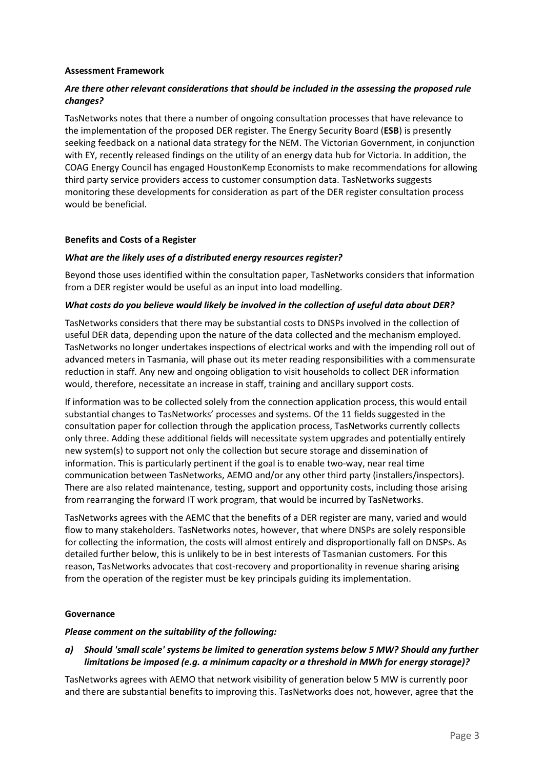### **Assessment Framework**

## *Are there other relevant considerations that should be included in the assessing the proposed rule changes?*

TasNetworks notes that there a number of ongoing consultation processes that have relevance to the implementation of the proposed DER register. The Energy Security Board (**ESB**) is presently seeking feedback on a national data strategy for the NEM. The Victorian Government, in conjunction with EY, recently released findings on the utility of an energy data hub for Victoria. In addition, the COAG Energy Council has engaged HoustonKemp Economists to make recommendations for allowing third party service providers access to customer consumption data. TasNetworks suggests monitoring these developments for consideration as part of the DER register consultation process would be beneficial.

#### **Benefits and Costs of a Register**

#### *What are the likely uses of a distributed energy resources register?*

Beyond those uses identified within the consultation paper, TasNetworks considers that information from a DER register would be useful as an input into load modelling.

#### *What costs do you believe would likely be involved in the collection of useful data about DER?*

TasNetworks considers that there may be substantial costs to DNSPs involved in the collection of useful DER data, depending upon the nature of the data collected and the mechanism employed. TasNetworks no longer undertakes inspections of electrical works and with the impending roll out of advanced meters in Tasmania, will phase out its meter reading responsibilities with a commensurate reduction in staff. Any new and ongoing obligation to visit households to collect DER information would, therefore, necessitate an increase in staff, training and ancillary support costs.

If information was to be collected solely from the connection application process, this would entail substantial changes to TasNetworks' processes and systems. Of the 11 fields suggested in the consultation paper for collection through the application process, TasNetworks currently collects only three. Adding these additional fields will necessitate system upgrades and potentially entirely new system(s) to support not only the collection but secure storage and dissemination of information. This is particularly pertinent if the goal is to enable two-way, near real time communication between TasNetworks, AEMO and/or any other third party (installers/inspectors). There are also related maintenance, testing, support and opportunity costs, including those arising from rearranging the forward IT work program, that would be incurred by TasNetworks.

TasNetworks agrees with the AEMC that the benefits of a DER register are many, varied and would flow to many stakeholders. TasNetworks notes, however, that where DNSPs are solely responsible for collecting the information, the costs will almost entirely and disproportionally fall on DNSPs. As detailed further below, this is unlikely to be in best interests of Tasmanian customers. For this reason, TasNetworks advocates that cost-recovery and proportionality in revenue sharing arising from the operation of the register must be key principals guiding its implementation.

#### **Governance**

#### *Please comment on the suitability of the following:*

*a) Should 'small scale' systems be limited to generation systems below 5 MW? Should any further limitations be imposed (e.g. a minimum capacity or a threshold in MWh for energy storage)?*

TasNetworks agrees with AEMO that network visibility of generation below 5 MW is currently poor and there are substantial benefits to improving this. TasNetworks does not, however, agree that the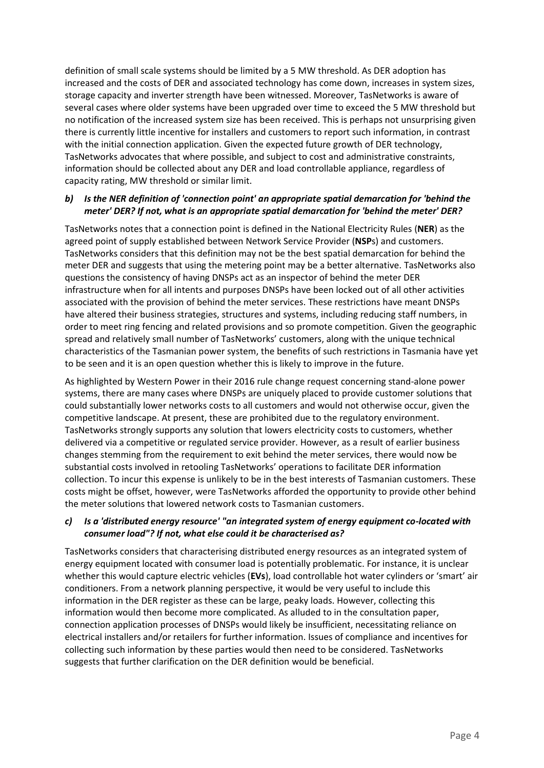definition of small scale systems should be limited by a 5 MW threshold. As DER adoption has increased and the costs of DER and associated technology has come down, increases in system sizes, storage capacity and inverter strength have been witnessed. Moreover, TasNetworks is aware of several cases where older systems have been upgraded over time to exceed the 5 MW threshold but no notification of the increased system size has been received. This is perhaps not unsurprising given there is currently little incentive for installers and customers to report such information, in contrast with the initial connection application. Given the expected future growth of DER technology, TasNetworks advocates that where possible, and subject to cost and administrative constraints, information should be collected about any DER and load controllable appliance, regardless of capacity rating, MW threshold or similar limit.

## *b) Is the NER definition of 'connection point' an appropriate spatial demarcation for 'behind the meter' DER? If not, what is an appropriate spatial demarcation for 'behind the meter' DER?*

TasNetworks notes that a connection point is defined in the National Electricity Rules (**NER**) as the agreed point of supply established between Network Service Provider (**NSP**s) and customers. TasNetworks considers that this definition may not be the best spatial demarcation for behind the meter DER and suggests that using the metering point may be a better alternative. TasNetworks also questions the consistency of having DNSPs act as an inspector of behind the meter DER infrastructure when for all intents and purposes DNSPs have been locked out of all other activities associated with the provision of behind the meter services. These restrictions have meant DNSPs have altered their business strategies, structures and systems, including reducing staff numbers, in order to meet ring fencing and related provisions and so promote competition. Given the geographic spread and relatively small number of TasNetworks' customers, along with the unique technical characteristics of the Tasmanian power system, the benefits of such restrictions in Tasmania have yet to be seen and it is an open question whether this is likely to improve in the future.

As highlighted by Western Power in their 2016 rule change request concerning stand-alone power systems, there are many cases where DNSPs are uniquely placed to provide customer solutions that could substantially lower networks costs to all customers and would not otherwise occur, given the competitive landscape. At present, these are prohibited due to the regulatory environment. TasNetworks strongly supports any solution that lowers electricity costs to customers, whether delivered via a competitive or regulated service provider. However, as a result of earlier business changes stemming from the requirement to exit behind the meter services, there would now be substantial costs involved in retooling TasNetworks' operations to facilitate DER information collection. To incur this expense is unlikely to be in the best interests of Tasmanian customers. These costs might be offset, however, were TasNetworks afforded the opportunity to provide other behind the meter solutions that lowered network costs to Tasmanian customers.

# *c) Is a 'distributed energy resource' "an integrated system of energy equipment co-located with consumer load"? If not, what else could it be characterised as?*

TasNetworks considers that characterising distributed energy resources as an integrated system of energy equipment located with consumer load is potentially problematic. For instance, it is unclear whether this would capture electric vehicles (**EVs**), load controllable hot water cylinders or 'smart' air conditioners. From a network planning perspective, it would be very useful to include this information in the DER register as these can be large, peaky loads. However, collecting this information would then become more complicated. As alluded to in the consultation paper, connection application processes of DNSPs would likely be insufficient, necessitating reliance on electrical installers and/or retailers for further information. Issues of compliance and incentives for collecting such information by these parties would then need to be considered. TasNetworks suggests that further clarification on the DER definition would be beneficial.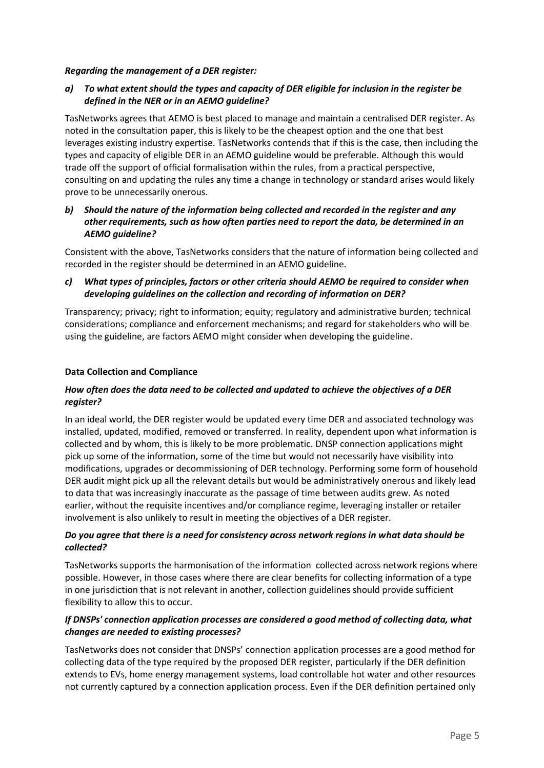## *Regarding the management of a DER register:*

# *a) To what extent should the types and capacity of DER eligible for inclusion in the register be defined in the NER or in an AEMO guideline?*

TasNetworks agrees that AEMO is best placed to manage and maintain a centralised DER register. As noted in the consultation paper, this is likely to be the cheapest option and the one that best leverages existing industry expertise. TasNetworks contends that if this is the case, then including the types and capacity of eligible DER in an AEMO guideline would be preferable. Although this would trade off the support of official formalisation within the rules, from a practical perspective, consulting on and updating the rules any time a change in technology or standard arises would likely prove to be unnecessarily onerous.

## *b) Should the nature of the information being collected and recorded in the register and any other requirements, such as how often parties need to report the data, be determined in an AEMO guideline?*

Consistent with the above, TasNetworks considers that the nature of information being collected and recorded in the register should be determined in an AEMO guideline.

# *c) What types of principles, factors or other criteria should AEMO be required to consider when developing guidelines on the collection and recording of information on DER?*

Transparency; privacy; right to information; equity; regulatory and administrative burden; technical considerations; compliance and enforcement mechanisms; and regard for stakeholders who will be using the guideline, are factors AEMO might consider when developing the guideline.

## **Data Collection and Compliance**

# *How often does the data need to be collected and updated to achieve the objectives of a DER register?*

In an ideal world, the DER register would be updated every time DER and associated technology was installed, updated, modified, removed or transferred. In reality, dependent upon what information is collected and by whom, this is likely to be more problematic. DNSP connection applications might pick up some of the information, some of the time but would not necessarily have visibility into modifications, upgrades or decommissioning of DER technology. Performing some form of household DER audit might pick up all the relevant details but would be administratively onerous and likely lead to data that was increasingly inaccurate as the passage of time between audits grew. As noted earlier, without the requisite incentives and/or compliance regime, leveraging installer or retailer involvement is also unlikely to result in meeting the objectives of a DER register.

## *Do you agree that there is a need for consistency across network regions in what data should be collected?*

TasNetworks supports the harmonisation of the information collected across network regions where possible. However, in those cases where there are clear benefits for collecting information of a type in one jurisdiction that is not relevant in another, collection guidelines should provide sufficient flexibility to allow this to occur.

# *If DNSPs' connection application processes are considered a good method of collecting data, what changes are needed to existing processes?*

TasNetworks does not consider that DNSPs' connection application processes are a good method for collecting data of the type required by the proposed DER register, particularly if the DER definition extends to EVs, home energy management systems, load controllable hot water and other resources not currently captured by a connection application process. Even if the DER definition pertained only